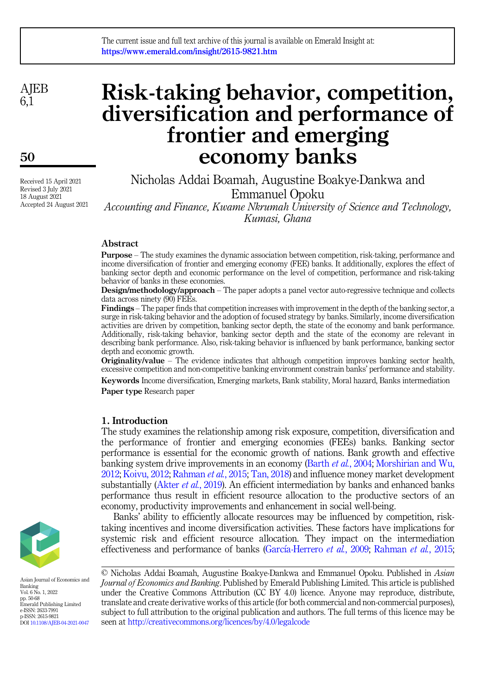**AIEB** 6,1

50

Received 15 April 2021 Revised 3 July 2021 18 August 2021 Accepted 24 August 2021

# Risk-taking behavior, competition, diversification and performance of frontier and emerging economy banks

Nicholas Addai Boamah, Augustine Boakye-Dankwa and Emmanuel Opoku

Accounting and Finance, Kwame Nkrumah University of Science and Technology, Kumasi, Ghana

## Abstract

Purpose – The study examines the dynamic association between competition, risk-taking, performance and income diversification of frontier and emerging economy (FEE) banks. It additionally, explores the effect of banking sector depth and economic performance on the level of competition, performance and risk-taking behavior of banks in these economies.

Design/methodology/approach – The paper adopts a panel vector auto-regressive technique and collects data across ninety (90) FEEs.

Findings – The paper finds that competition increases with improvement in the depth of the banking sector, a surge in risk-taking behavior and the adoption of focused strategy by banks. Similarly, income diversification activities are driven by competition, banking sector depth, the state of the economy and bank performance. Additionally, risk-taking behavior, banking sector depth and the state of the economy are relevant in describing bank performance. Also, risk-taking behavior is influenced by bank performance, banking sector depth and economic growth.

Originality/value – The evidence indicates that although competition improves banking sector health, excessive competition and non-competitive banking environment constrain banks' performance and stability.

Keywords Income diversification, Emerging markets, Bank stability, Moral hazard, Banks intermediation Paper type Research paper

## 1. Introduction

The study examines the relationship among risk exposure, competition, diversification and the performance of frontier and emerging economies (FEEs) banks. Banking sector performance is essential for the economic growth of nations. Bank growth and effective banking system drive improvements in an economy (Barth et al.[, 2004](#page-16-0); [Morshirian and Wu,](#page-17-0) [2012;](#page-17-0) [Koivu, 2012](#page-17-1); [Rahman](#page-17-2) et al., 2015; [Tan, 2018\)](#page-18-0) and influence money market development substantially [\(Akter](#page-16-1) *et al.*, 2019). An efficient intermediation by banks and enhanced banks performance thus result in efficient resource allocation to the productive sectors of an economy, productivity improvements and enhancement in social well-being.

Banks' ability to efficiently allocate resources may be influenced by competition, risktaking incentives and income diversification activities. These factors have implications for systemic risk and efficient resource allocation. They impact on the intermediation effectiveness and performance of banks [\(Garc](#page-16-2)í[a-Herrero](#page-16-2) *et al.*, 2009; [Rahman](#page-17-2) *et al.*, 2015;





Asian Journal of Economics and Banking Vol. 6 No. 1, 2022 pp. 50-68 Emerald Publishing Limited e-ISSN: 2633-7991 p-ISSN: 2615-9821 DOI [10.1108/AJEB-04-2021-0047](https://doi.org/10.1108/AJEB-04-2021-0047)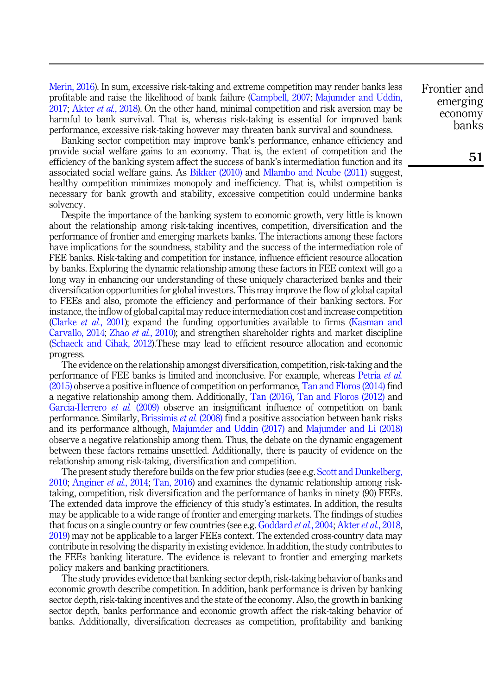[Merin, 2016\)](#page-17-3). In sum, excessive risk-taking and extreme competition may render banks less profitable and raise the likelihood of bank failure [\(Campbell, 2007;](#page-16-3) [Majumder and Uddin,](#page-17-4) [2017;](#page-17-4) Akter *et al.*[, 2018\)](#page-16-4). On the other hand, minimal competition and risk aversion may be harmful to bank survival. That is, whereas risk-taking is essential for improved bank performance, excessive risk-taking however may threaten bank survival and soundness.

Banking sector competition may improve bank's performance, enhance efficiency and provide social welfare gains to an economy. That is, the extent of competition and the efficiency of the banking system affect the success of bank's intermediation function and its associated social welfare gains. As [Bikker \(2010\)](#page-16-5) and [Mlambo and Ncube \(2011\)](#page-17-5) suggest, healthy competition minimizes monopoly and inefficiency. That is, whilst competition is necessary for bank growth and stability, excessive competition could undermine banks solvency.

Despite the importance of the banking system to economic growth, very little is known about the relationship among risk-taking incentives, competition, diversification and the performance of frontier and emerging markets banks. The interactions among these factors have implications for the soundness, stability and the success of the intermediation role of FEE banks. Risk-taking and competition for instance, influence efficient resource allocation by banks. Exploring the dynamic relationship among these factors in FEE context will go a long way in enhancing our understanding of these uniquely characterized banks and their diversification opportunities for global investors. This may improve the flow of global capital to FEEs and also, promote the efficiency and performance of their banking sectors. For instance, the inflow of global capital may reduce intermediation cost and increase competition ([Clarke](#page-16-6) et al., 2001); expand the funding opportunities available to firms [\(Kasman and](#page-17-6) [Carvallo, 2014;](#page-17-6) Zhao et al.[, 2010\)](#page-18-1); and strengthen shareholder rights and market discipline ([Schaeck and Cihak, 2012\)](#page-18-2).These may lead to efficient resource allocation and economic progress.

The evidence on the relationship amongst diversification, competition, risk-taking and the performance of FEE banks is limited and inconclusive. For example, whereas [Petria](#page-17-7) et al. [\(2015\)](#page-17-7) observe a positive influence of competition on performance, [Tan and Floros \(2014\)](#page-18-3) find a negative relationship among them. Additionally, [Tan \(2016\)](#page-18-4), [Tan and Floros \(2012\)](#page-18-5) and [Garcia-Herrero](#page-16-2) *et al.* (2009) observe an insignificant influence of competition on bank performance. Similarly, [Brissimis](#page-16-7) et al. (2008) find a positive association between bank risks and its performance although, [Majumder and Uddin \(2017\)](#page-17-4) and [Majumder and Li \(2018\)](#page-17-8) observe a negative relationship among them. Thus, the debate on the dynamic engagement between these factors remains unsettled. Additionally, there is paucity of evidence on the relationship among risk-taking, diversification and competition.

The present study therefore builds on the few prior studies (see e.g. [Scott and Dunkelberg,](#page-18-6) [2010;](#page-18-6) [Anginer](#page-16-8) et al., 2014; [Tan, 2016](#page-18-4)) and examines the dynamic relationship among risktaking, competition, risk diversification and the performance of banks in ninety (90) FEEs. The extended data improve the efficiency of this study's estimates. In addition, the results may be applicable to a wide range of frontier and emerging markets. The findings of studies that focus on a single country or few countries (see e.g. [Goddard](#page-16-9) *et al.*, 2004; [Akter](#page-16-4) *et al.*, 2018, [2019\)](#page-16-1) may not be applicable to a larger FEEs context. The extended cross-country data may contribute in resolving the disparity in existing evidence. In addition, the study contributes to the FEEs banking literature. The evidence is relevant to frontier and emerging markets policy makers and banking practitioners.

The study provides evidence that banking sector depth, risk-taking behavior of banks and economic growth describe competition. In addition, bank performance is driven by banking sector depth, risk-taking incentives and the state of the economy. Also, the growth in banking sector depth, banks performance and economic growth affect the risk-taking behavior of banks. Additionally, diversification decreases as competition, profitability and banking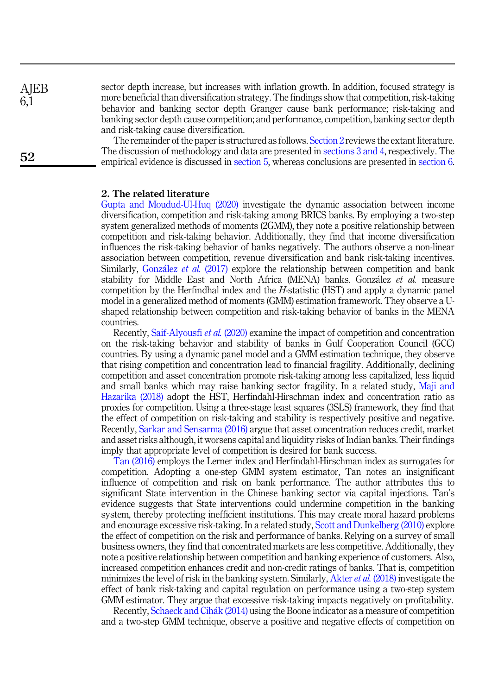**AIEB** 6,1

52

sector depth increase, but increases with inflation growth. In addition, focused strategy is more beneficial than diversification strategy. The findings show that competition, risk-taking behavior and banking sector depth Granger cause bank performance; risk-taking and banking sector depth cause competition; and performance, competition, banking sector depth and risk-taking cause diversification.

The remainder of the paper is structured as follows. [Section 2](#page-2-0) reviews the extant literature. The discussion of methodology and data are presented in [sections 3 and 4](#page-4-0), respectively. The empirical evidence is discussed in [section 5](#page-6-0), whereas conclusions are presented in [section 6](#page-15-0).

## <span id="page-2-0"></span>2. The related literature

[Gupta and Moudud-Ul-Huq \(2020\)](#page-17-9) investigate the dynamic association between income diversification, competition and risk-taking among BRICS banks. By employing a two-step system generalized methods of moments (2GMM), they note a positive relationship between competition and risk-taking behavior. Additionally, they find that income diversification influences the risk-taking behavior of banks negatively. The authors observe a non-linear association between competition, revenue diversification and bank risk-taking incentives. Similarly, [Gonz](#page-17-10)ález et al. [\(2017\)](#page-17-10) explore the relationship between competition and bank stability for Middle East and North Africa (MENA) banks. González et al. measure competition by the Herfindhal index and the  $H$ -statistic (HST) and apply a dynamic panel model in a generalized method of moments (GMM) estimation framework. They observe a Ushaped relationship between competition and risk-taking behavior of banks in the MENA countries.

Recently, [Saif-Alyousfi](#page-17-11) et al. (2020) examine the impact of competition and concentration on the risk-taking behavior and stability of banks in Gulf Cooperation Council (GCC) countries. By using a dynamic panel model and a GMM estimation technique, they observe that rising competition and concentration lead to financial fragility. Additionally, declining competition and asset concentration promote risk-taking among less capitalized, less liquid and small banks which may raise banking sector fragility. In a related study, [Maji and](#page-17-12) [Hazarika \(2018\)](#page-17-12) adopt the HST, Herfindahl-Hirschman index and concentration ratio as proxies for competition. Using a three-stage least squares (3SLS) framework, they find that the effect of competition on risk-taking and stability is respectively positive and negative. Recently, [Sarkar and Sensarma \(2016\)](#page-17-13) argue that asset concentration reduces credit, market and asset risks although, it worsens capital and liquidity risks of Indian banks. Their findings imply that appropriate level of competition is desired for bank success.

[Tan \(2016\)](#page-18-4) employs the Lerner index and Herfindahl-Hirschman index as surrogates for competition. Adopting a one-step GMM system estimator, Tan notes an insignificant influence of competition and risk on bank performance. The author attributes this to significant State intervention in the Chinese banking sector via capital injections. Tan's evidence suggests that State interventions could undermine competition in the banking system, thereby protecting inefficient institutions. This may create moral hazard problems and encourage excessive risk-taking. In a related study, [Scott and Dunkelberg \(2010\)](#page-18-6) explore the effect of competition on the risk and performance of banks. Relying on a survey of small business owners, they find that concentrated markets are less competitive. Additionally, they note a positive relationship between competition and banking experience of customers. Also, increased competition enhances credit and non-credit ratings of banks. That is, competition minimizes the level of risk in the banking system. Similarly, Akter *et al.* [\(2018\)](#page-16-4) investigate the effect of bank risk-taking and capital regulation on performance using a two-step system GMM estimator. They argue that excessive risk-taking impacts negatively on profitability.

Recently, [Schaeck and Cih](#page-17-14)a[k \(2014\)](#page-17-14) using the Boone indicator as a measure of competition and a two-step GMM technique, observe a positive and negative effects of competition on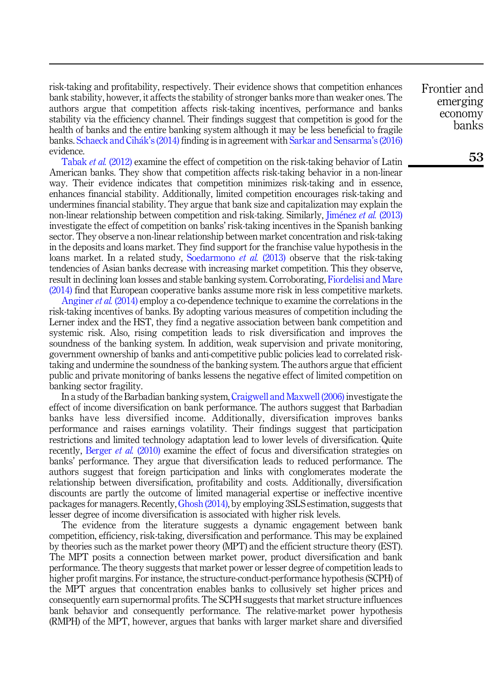risk-taking and profitability, respectively. Their evidence shows that competition enhances bank stability, however, it affects the stability of stronger banks more than weaker ones. The authors argue that competition affects risk-taking incentives, performance and banks stability via the efficiency channel. Their findings suggest that competition is good for the health of banks and the entire banking system although it may be less beneficial to fragile banks. [Schaeck and Cih](#page-17-14)ak'[s \(2014\)](#page-17-14) finding is in agreement with [Sarkar and Sensarma](#page-17-13)'s (2016) evidence.

[Tabak](#page-18-7) et al. (2012) examine the effect of competition on the risk-taking behavior of Latin American banks. They show that competition affects risk-taking behavior in a non-linear way. Their evidence indicates that competition minimizes risk-taking and in essence, enhances financial stability. Additionally, limited competition encourages risk-taking and undermines financial stability. They argue that bank size and capitalization may explain the non-linear relationship between competition and risk-taking. Similarly, *[Jim](#page-17-15)énez et al.* [\(2013\)](#page-17-15) investigate the effect of competition on banks' risk-taking incentives in the Spanish banking sector. They observe a non-linear relationship between market concentration and risk-taking in the deposits and loans market. They find support for the franchise value hypothesis in the loans market. In a related study, [Soedarmono](#page-18-8) *et al.* (2013) observe that the risk-taking tendencies of Asian banks decrease with increasing market competition. This they observe, result in declining loan losses and stable banking system. Corroborating, [Fiordelisi and Mare](#page-16-10) [\(2014\)](#page-16-10) find that European cooperative banks assume more risk in less competitive markets.

[Anginer](#page-16-8) *et al.* (2014) employ a co-dependence technique to examine the correlations in the risk-taking incentives of banks. By adopting various measures of competition including the Lerner index and the HST, they find a negative association between bank competition and systemic risk. Also, rising competition leads to risk diversification and improves the soundness of the banking system. In addition, weak supervision and private monitoring, government ownership of banks and anti-competitive public policies lead to correlated risktaking and undermine the soundness of the banking system. The authors argue that efficient public and private monitoring of banks lessens the negative effect of limited competition on banking sector fragility.

In a study of the Barbadian banking system, [Craigwell and Maxwell \(2006\)](#page-16-11) investigate the effect of income diversification on bank performance. The authors suggest that Barbadian banks have less diversified income. Additionally, diversification improves banks performance and raises earnings volatility. Their findings suggest that participation restrictions and limited technology adaptation lead to lower levels of diversification. Quite recently, [Berger](#page-16-12) et al. (2010) examine the effect of focus and diversification strategies on banks' performance. They argue that diversification leads to reduced performance. The authors suggest that foreign participation and links with conglomerates moderate the relationship between diversification, profitability and costs. Additionally, diversification discounts are partly the outcome of limited managerial expertise or ineffective incentive packages for managers. Recently,[Ghosh \(2014\)](#page-16-13), by employing 3SLS estimation, suggests that lesser degree of income diversification is associated with higher risk levels.

The evidence from the literature suggests a dynamic engagement between bank competition, efficiency, risk-taking, diversification and performance. This may be explained by theories such as the market power theory (MPT) and the efficient structure theory (EST). The MPT posits a connection between market power, product diversification and bank performance. The theory suggests that market power or lesser degree of competition leads to higher profit margins. For instance, the structure-conduct-performance hypothesis (SCPH) of the MPT argues that concentration enables banks to collusively set higher prices and consequently earn supernormal profits. The SCPH suggests that market structure influences bank behavior and consequently performance. The relative-market power hypothesis (RMPH) of the MPT, however, argues that banks with larger market share and diversified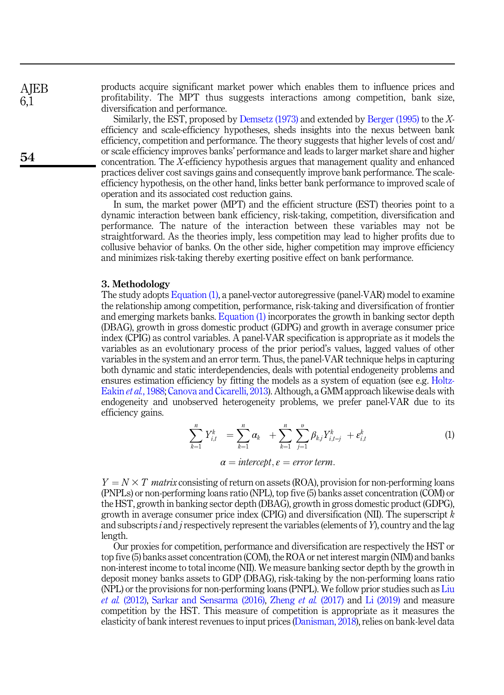products acquire significant market power which enables them to influence prices and profitability. The MPT thus suggests interactions among competition, bank size, diversification and performance.

Similarly, the EST, proposed by [Demsetz \(1973\)](#page-16-14) and extended by [Berger \(1995\)](#page-16-15) to the Xefficiency and scale-efficiency hypotheses, sheds insights into the nexus between bank efficiency, competition and performance. The theory suggests that higher levels of cost and/ or scale efficiency improves banks' performance and leads to larger market share and higher concentration. The X-efficiency hypothesis argues that management quality and enhanced practices deliver cost savings gains and consequently improve bank performance. The scaleefficiency hypothesis, on the other hand, links better bank performance to improved scale of operation and its associated cost reduction gains.

In sum, the market power (MPT) and the efficient structure (EST) theories point to a dynamic interaction between bank efficiency, risk-taking, competition, diversification and performance. The nature of the interaction between these variables may not be straightforward. As the theories imply, less competition may lead to higher profits due to collusive behavior of banks. On the other side, higher competition may improve efficiency and minimizes risk-taking thereby exerting positive effect on bank performance.

## 3. Methodology

The study adopts [Equation \(1\),](#page-4-1) a panel-vector autoregressive (panel-VAR) model to examine the relationship among competition, performance, risk-taking and diversification of frontier and emerging markets banks. [Equation \(1\)](#page-4-1) incorporates the growth in banking sector depth (DBAG), growth in gross domestic product (GDPG) and growth in average consumer price index (CPIG) as control variables. A panel-VAR specification is appropriate as it models the variables as an evolutionary process of the prior period's values, lagged values of other variables in the system and an error term. Thus, the panel-VAR technique helps in capturing both dynamic and static interdependencies, deals with potential endogeneity problems and ensures estimation efficiency by fitting the models as a system of equation (see e.g. [Holtz-](#page-17-16)[Eakin](#page-17-16) et al., 1988; [Canova and Cicarelli, 2013](#page-16-16)). Although, a GMM approach likewise deals with endogeneity and unobserved heterogeneity problems, we prefer panel-VAR due to its efficiency gains.

$$
\sum_{k=1}^n Y_{i,t}^k = \sum_{k=1}^n \alpha_k + \sum_{k=1}^n \sum_{j=1}^n \beta_{kj} Y_{i,t-j}^k + \epsilon_{i,t}^k
$$
 (1)

$$
\alpha = intercept, \varepsilon = error term.
$$

<span id="page-4-1"></span><span id="page-4-0"></span> $Y = N \times T$  matrix consisting of return on assets (ROA), provision for non-performing loans (PNPLs) or non-performing loans ratio (NPL), top five (5) banks asset concentration (COM) or the HST, growth in banking sector depth (DBAG), growth in gross domestic product (GDPG), growth in average consumer price index (CPIG) and diversification (NII). The superscript  $k$ and subscripts i and j respectively represent the variables (elements of Y), country and the lag length.

Our proxies for competition, performance and diversification are respectively the HST or top five (5) banks asset concentration (COM), the ROA or net interest margin (NIM) and banks non-interest income to total income (NII). We measure banking sector depth by the growth in deposit money banks assets to GDP (DBAG), risk-taking by the non-performing loans ratio (NPL) or the provisions for non-performing loans (PNPL). We follow prior studies such as [Liu](#page-17-17) *et al.* [\(2012\),](#page-17-17) [Sarkar and Sensarma \(2016\)](#page-17-13), [Zheng](#page-18-9) *et al.* (2017) and [Li \(2019\)](#page-17-18) and measure competition by the HST. This measure of competition is appropriate as it measures the elasticity of bank interest revenues to input prices ([Danisman, 2018\)](#page-16-17), relies on bank-level data

**AIEB** 6,1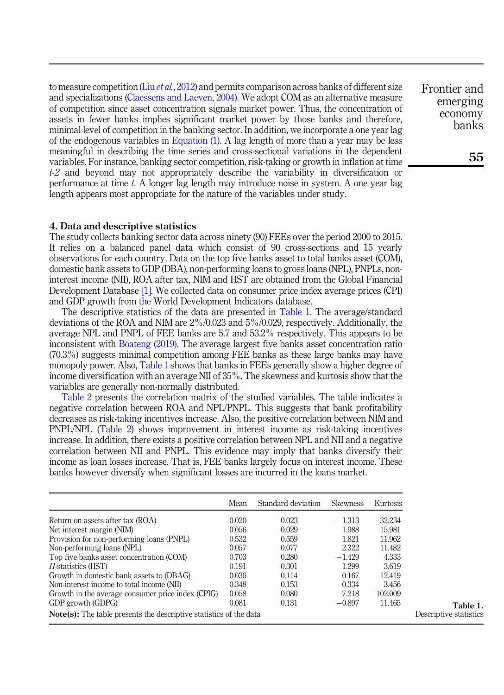to measure competition (Liu *et al.*[, 2012\)](#page-17-17) and permits comparison across banks of different size and specializations ([Claessens and Laeven, 2004\)](#page-16-18). We adopt COM as an alternative measure of competition since asset concentration signals market power. Thus, the concentration of assets in fewer banks implies significant market power by those banks and therefore, minimal level of competition in the banking sector. In addition, we incorporate a one year lag of the endogenous variables in [Equation \(1\)](#page-4-1). A lag length of more than a year may be less meaningful in describing the time series and cross-sectional variations in the dependent variables. For instance, banking sector competition, risk-taking or growth in inflation at time  $t-2$  and beyond may not appropriately describe the variability in diversification or performance at time t. A longer lag length may introduce noise in system. A one year lag length appears most appropriate for the nature of the variables under study.

## 4. Data and descriptive statistics

The study collects banking sector data across ninety (90) FEEs over the period 2000 to 2015. It relies on a balanced panel data which consist of 90 cross-sections and 15 yearly observations for each country. Data on the top five banks asset to total banks asset (COM), domestic bank assets to GDP (DBA), non-performing loans to gross loans (NPL), PNPLs, noninterest income (NII), ROA after tax, NIM and HST are obtained from the Global Financial Development Database [\[1\].](#page-15-1) We collected data on consumer price index average prices (CPI) and GDP growth from the World Development Indicators database.

The descriptive statistics of the data are presented in Table 1. The average/standard deviations of the ROA and NIM are 2%/0.023 and 5%/0.029, respectively. Additionally, the average NPL and PNPL of FEE banks are 5.7 and 53.2% respectively. This appears to be inconsistent with [Boateng \(2019\)](#page-16-19). The average largest five banks asset concentration ratio (70.3%) suggests minimal competition among FEE banks as these large banks may have monopoly power. Also, Table 1 shows that banks in FEEs generally show a higher degree of income diversification with an average NII of 35%. The skewness and kurtosis show that the variables are generally non-normally distributed.

[Table 2](#page-6-1) presents the correlation matrix of the studied variables. The table indicates a negative correlation between ROA and NPL/PNPL. This suggests that bank profitability decreases as risk-taking incentives increase. Also, the positive correlation between NIM and PNPL/NPL ([Table 2\)](#page-6-1) shows improvement in interest income as risk-taking incentives increase. In addition, there exists a positive correlation between NPL and NII and a negative correlation between NII and PNPL. This evidence may imply that banks diversify their income as loan losses increase. That is, FEE banks largely focus on interest income. These banks however diversify when significant losses are incurred in the loans market.

|                                                                           | Mean  | Standard deviation | <b>Skewness</b> | Kurtosis |  |  |  |  |  |
|---------------------------------------------------------------------------|-------|--------------------|-----------------|----------|--|--|--|--|--|
| Return on assets after tax (ROA)                                          | 0.020 | 0.023              | $-1.313$        | 32.234   |  |  |  |  |  |
| Net interest margin (NIM)                                                 | 0.056 | 0.029              | 1.988           | 15.981   |  |  |  |  |  |
| Provision for non-performing loans (PNPL)                                 | 0.532 | 0.559              | 1.821           | 11.962   |  |  |  |  |  |
| Non-performing loans (NPL)                                                | 0.057 | 0.077              | 2.322           | 11.482   |  |  |  |  |  |
| Top five banks asset concentration (COM)                                  | 0.703 | 0.280              | $-1.429$        | 4.333    |  |  |  |  |  |
| <i>H</i> -statistics (HST)                                                | 0.191 | 0.301              | 1.299           | 3.619    |  |  |  |  |  |
| Growth in domestic bank assets to (DBAG)                                  | 0.036 | 0.114              | 0.167           | 12.419   |  |  |  |  |  |
| Non-interest income to total income (NII)                                 | 0.348 | 0.153              | 0.334           | 3.456    |  |  |  |  |  |
| Growth in the average consumer price index (CPIG)                         | 0.058 | 0.080              | 7.218           | 102.009  |  |  |  |  |  |
| GDP growth (GDPG)                                                         | 0.081 | 0.131              | $-0.897$        | 11.465   |  |  |  |  |  |
| <b>Note(s):</b> The table presents the descriptive statistics of the data |       |                    |                 |          |  |  |  |  |  |

Frontier and emerging economy banks

55

Table 1. Descriptive statistics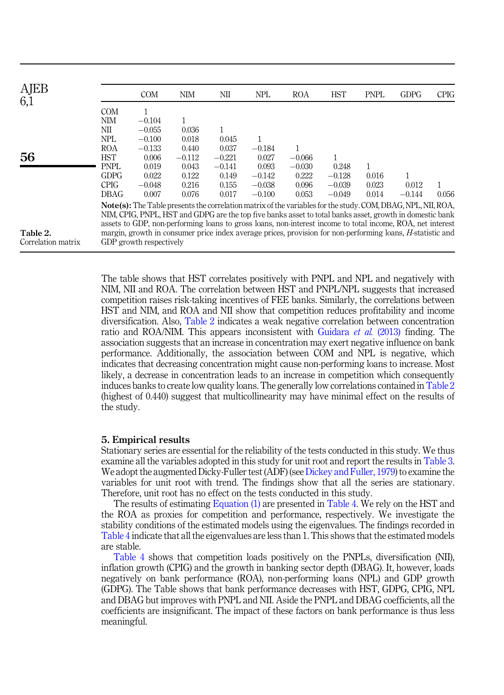<span id="page-6-1"></span>

| AJEB<br>6,1        |             | <b>COM</b>              | <b>NIM</b> | NШ       | <b>NPL</b> | <b>ROA</b>                                                                                                          | <b>HST</b> | <b>PNPL</b> | <b>GDPG</b> | <b>CPIG</b> |
|--------------------|-------------|-------------------------|------------|----------|------------|---------------------------------------------------------------------------------------------------------------------|------------|-------------|-------------|-------------|
|                    | <b>COM</b>  |                         |            |          |            |                                                                                                                     |            |             |             |             |
|                    | NIM         | $-0.104$                | 1          |          |            |                                                                                                                     |            |             |             |             |
|                    | NШ          | $-0.055$                | 0.036      |          |            |                                                                                                                     |            |             |             |             |
|                    | <b>NPL</b>  | $-0.100$                | 0.018      | 0.045    | 1          |                                                                                                                     |            |             |             |             |
|                    | <b>ROA</b>  | $-0.133$                | 0.440      | 0.037    | $-0.184$   |                                                                                                                     |            |             |             |             |
| 56                 | <b>HST</b>  | 0.006                   | $-0.112$   | $-0.221$ | 0.027      | $-0.066$                                                                                                            |            |             |             |             |
|                    | <b>PNPL</b> | 0.019                   | 0.043      | $-0.141$ | 0.093      | $-0.030$                                                                                                            | 0.248      |             |             |             |
|                    | <b>GDPG</b> | 0.022                   | 0.122      | 0.149    | $-0.142$   | 0.222                                                                                                               | $-0.128$   | 0.016       |             |             |
|                    | <b>CPIG</b> | $-0.048$                | 0.216      | 0.155    | $-0.038$   | 0.096                                                                                                               | $-0.039$   | 0.023       | 0.012       |             |
|                    | DBAG        | 0.007                   | 0.076      | 0.017    | $-0.100$   | 0.053                                                                                                               | $-0.049$   | 0.014       | $-0.144$    | 0.056       |
|                    |             |                         |            |          |            | <b>Note(s):</b> The Table presents the correlation matrix of the variables for the study. COM, DBAG, NPL, NII, ROA, |            |             |             |             |
|                    |             |                         |            |          |            | NIM, CPIG, PNPL, HST and GDPG are the top five banks asset to total banks asset, growth in domestic bank            |            |             |             |             |
|                    |             |                         |            |          |            | assets to GDP, non-performing loans to gross loans, non-interest income to total income, ROA, net interest          |            |             |             |             |
| Table 2.           |             |                         |            |          |            | margin, growth in consumer price index average prices, provision for non-performing loans, H-statistic and          |            |             |             |             |
| Correlation matrix |             | GDP growth respectively |            |          |            |                                                                                                                     |            |             |             |             |

The table shows that HST correlates positively with PNPL and NPL and negatively with NIM, NII and ROA. The correlation between HST and PNPL/NPL suggests that increased competition raises risk-taking incentives of FEE banks. Similarly, the correlations between HST and NIM, and ROA and NII show that competition reduces profitability and income diversification. Also, Table 2 indicates a weak negative correlation between concentration ratio and ROA/NIM. This appears inconsistent with [Guidara](#page-17-19) et al. (2013) finding. The association suggests that an increase in concentration may exert negative influence on bank performance. Additionally, the association between COM and NPL is negative, which indicates that decreasing concentration might cause non-performing loans to increase. Most likely, a decrease in concentration leads to an increase in competition which consequently induces banks to create low quality loans. The generally low correlations contained in Table 2 (highest of 0.440) suggest that multicollinearity may have minimal effect on the results of the study.

#### <span id="page-6-0"></span>5. Empirical results

Stationary series are essential for the reliability of the tests conducted in this study. We thus examine all the variables adopted in this study for unit root and report the results in [Table 3](#page-7-0). We adopt the augmented Dicky-Fuller test (ADF) (see [Dickey and Fuller, 1979\)](#page-16-20) to examine the variables for unit root with trend. The findings show that all the series are stationary. Therefore, unit root has no effect on the tests conducted in this study.

The results of estimating [Equation \(1\)](#page-4-1) are presented in [Table 4.](#page-8-0) We rely on the HST and the ROA as proxies for competition and performance, respectively. We investigate the stability conditions of the estimated models using the eigenvalues. The findings recorded in [Table 4](#page-8-0) indicate that all the eigenvalues are less than 1. This shows that the estimated models are stable.

[Table 4](#page-8-0) shows that competition loads positively on the PNPLs, diversification (NII), inflation growth (CPIG) and the growth in banking sector depth (DBAG). It, however, loads negatively on bank performance (ROA), non-performing loans (NPL) and GDP growth (GDPG). The Table shows that bank performance decreases with HST, GDPG, CPIG, NPL and DBAG but improves with PNPL and NII. Aside the PNPL and DBAG coefficients, all the coefficients are insignificant. The impact of these factors on bank performance is thus less meaningful.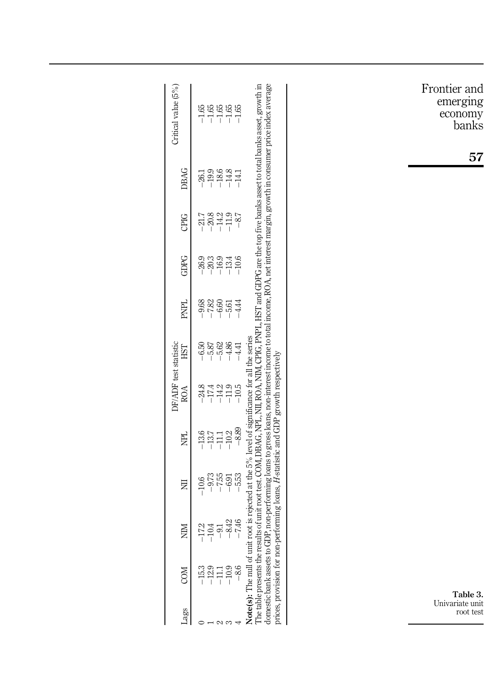<span id="page-7-0"></span>

| Frontier and<br>emerging<br>economy<br>banks<br>57 | The table presents the results of unit root test. COM, DBAG, NPL, NII, ROA, NIM, CPIG, PNPL, HST and GDPG are the top five banks asset to total banks asset, growth in<br>non-performing loans to gross loans, non-interest income to total income, ROA, net interest margin, growth in consumer price index average<br>$-1.66$<br>$-1.66$<br>$-1.7$<br>$-1.7$ | Critical value (5%)          |
|----------------------------------------------------|----------------------------------------------------------------------------------------------------------------------------------------------------------------------------------------------------------------------------------------------------------------------------------------------------------------------------------------------------------------|------------------------------|
|                                                    | $-19.9$<br>$-18.6$<br>$-14.8$<br>$-26.1$<br>$-14.1$                                                                                                                                                                                                                                                                                                            | DBAG                         |
|                                                    | $^{\rm -14.2}$<br>$-11.9$<br>$-87$<br>$-21.7$<br>$-20.8$                                                                                                                                                                                                                                                                                                       | CPIG                         |
|                                                    | $-16.9$<br>$-26.9$<br>$-20.3$<br>$-10.6$<br>$-13.4$                                                                                                                                                                                                                                                                                                            | GDPG                         |
|                                                    | $-9.88$<br>$-7.82$<br>$-6.60$<br>$-4.44$<br>$-5.61$                                                                                                                                                                                                                                                                                                            | PNPL                         |
|                                                    | $-5.62$<br>$-4.86$<br>$-6.50$<br>$-5.87$<br>$-4.41$                                                                                                                                                                                                                                                                                                            | HST                          |
|                                                    | $-11.9$<br>$-14.2$<br>$-10.5$<br>$-24.8$<br>-17.4                                                                                                                                                                                                                                                                                                              | DF/ADF test statistic<br>ROA |
|                                                    | forming loans, H-statistic and GDP growth respectively<br>$-8.89$<br>$-10.2$<br>$-13.6$<br>$-13.7$<br>$-11.1$                                                                                                                                                                                                                                                  | 足                            |
|                                                    | $-9.759$<br>$-1$ $-6.33$<br>$-1$ $-1$<br>$-10.6$                                                                                                                                                                                                                                                                                                               | 豆                            |
|                                                    | Note(s): The null of unit root is rejected at the 5% level of significance for all the series<br>746<br>8.42<br>N<br>Ā,<br>Ē.                                                                                                                                                                                                                                  | $\sum_{i=1}^{n}$             |
|                                                    | prices, provision for non-perf<br>domestic bank assets to GDP<br>$-10.9$<br>$-8.6$<br>$15.3\phantom{1}$                                                                                                                                                                                                                                                        | COM                          |
| Table 3.<br>Univariate unit<br>root test           | $  \sim$ $\sim$                                                                                                                                                                                                                                                                                                                                                | Lags                         |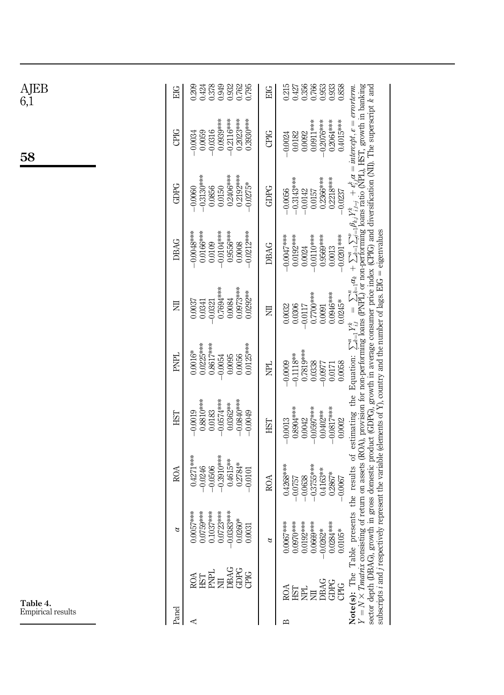<span id="page-8-0"></span>

| AJEB<br>6,1       | <b>EIG</b>  | 0.378<br>0.932<br>0.795<br>0.949<br>0.209<br>0.424                                                                                                                                                                   | EIG       | 0.215<br>0.356<br>0.766<br>0.953<br>0.933<br>0.858<br>0.427                                   |                                                                                                                                                                                                                                                                                                                                                                                                                                                                                                                                                                                       |
|-------------------|-------------|----------------------------------------------------------------------------------------------------------------------------------------------------------------------------------------------------------------------|-----------|-----------------------------------------------------------------------------------------------|---------------------------------------------------------------------------------------------------------------------------------------------------------------------------------------------------------------------------------------------------------------------------------------------------------------------------------------------------------------------------------------------------------------------------------------------------------------------------------------------------------------------------------------------------------------------------------------|
| 58                | CPIG        | 0.0939***<br>$-0.2116***$<br>$0.2023***$<br>$0.3930***$<br>$-0.0316$<br>0.0059<br>$-0.0034$                                                                                                                          | CPIG      | 0.4015***<br>0.0911***<br>$-0.2076$ **<br>0.2064****<br>0.0092<br>0.0182<br>$-0.0024$         |                                                                                                                                                                                                                                                                                                                                                                                                                                                                                                                                                                                       |
|                   | GDPG        | $-0.3130***$<br>0.2406***<br>0.2192****<br>$-0.0275*$<br>0.0856<br>0.0150<br>$-0.0060$                                                                                                                               | GDPG      | 0.2366***<br>$0.2218***$<br>$-0.3143**$<br>$-0.0056$<br>$-0.0142$<br>0.0157<br>$-0.0237$      |                                                                                                                                                                                                                                                                                                                                                                                                                                                                                                                                                                                       |
|                   | DBAG        | $-0.0048***$<br>0.0166***<br>$-0.0104***$<br>0.956***<br>$-0.0212***$<br>0.0109<br>0.0008                                                                                                                            | DBAG      | $-0.0110***$<br>0.9569***<br>$-0.0201***$<br>$0.0047***$<br>0.0192****<br>0.0013<br>0.0024    |                                                                                                                                                                                                                                                                                                                                                                                                                                                                                                                                                                                       |
|                   | 乬           | 0.7694***<br>0.0973***<br>0.0292**<br>0.0084<br>0.0037<br>0.0341<br>$-0.0321$                                                                                                                                        | 豆         | 0.0946***<br>$0.7700$ ***<br>$0.0245*$<br>$-0.0117$<br>0.0091<br>0.0032<br>0.0306             | $= \sum_{n=1}^{\infty}$                                                                                                                                                                                                                                                                                                                                                                                                                                                                                                                                                               |
|                   | <b>PNPL</b> | 0.0225***<br>$0.8617***$<br>0.0125***<br>$0.0016*$<br>0.0056<br>0.0054<br>0.0095                                                                                                                                     | <b>FE</b> | 0.7819***<br>$-0.1118**$<br>$-0.0009$<br>0.0058<br>0.0338<br>$-0.0977$<br>0.0171              |                                                                                                                                                                                                                                                                                                                                                                                                                                                                                                                                                                                       |
|                   | ESH         | 0.8810***<br>$-0.0574***$<br>$-0.0840***$<br>$0.0362**$<br>$-0.0019$<br>0.0183<br>$-0.0049$                                                                                                                          | EST       | 0.8904***<br>$-0.0597***$<br>$-0.0817$ ***<br>0.0402**<br>0.0042<br>0.0002<br>$-0.0013$       |                                                                                                                                                                                                                                                                                                                                                                                                                                                                                                                                                                                       |
|                   | ROA         | 0.4271***<br>$-0.3910$ ***<br>$0.4615***$<br>$0.2784*$<br>$-0.0246$<br>$-0.0506$<br>$-0.0101$                                                                                                                        | ROA       | $-0.3755***$<br>$0.4268***$<br>$0.4163**$<br>$0.2867*$<br>$-0.0638$<br>$-0.0067$<br>$-0.0757$ |                                                                                                                                                                                                                                                                                                                                                                                                                                                                                                                                                                                       |
|                   | $\alpha$    | $0.0057***$<br>$0.0759***$<br>$0.1037***$<br>$0.0723***$<br>1383***<br>260*<br>0.0031<br>$-0.0$                                                                                                                      | a         | $0.0067***$<br>$0.0970***$<br>$0.0192***$<br>0.0284***<br>0.0669***<br>$0.0262*$<br>$0.0105*$ | <b>Note(s):</b> The Table presents the results of estimating the Equation: $\sum_{i=1}^{n} Y_{i,i}^* = \sum_{i=1}^{n} a_{i} + \sum_{i=1}^{n} \sum_{i=1}^{n} \beta_{i,i} Y_{i,i}^* + \epsilon_{i,i}^* a = intercept, e = errorterm.Y = N \times Tmatrix consisting of return on assets (ROA), prsector depth (DBAG), growth in gross domestic product (GDPG), growth in average consumer price index (CPIG) and diversification (NII). The superscript k andsubscripts i and j respectively represent the variable (elements of Y), country and the number of lags. EIG = eigenvalues$ |
| Table 4.          |             | $\begin{array}{l} \begin{array}{l} \text{ROL} \\ \text{RIT} \end{array} \\ \begin{array}{l} \text{RIT} \\ \text{RIT} \end{array} \\ \begin{array}{l} \text{RIG} \\ \text{RIG} \\ \text{GDC} \end{array} \end{array}$ |           | DBAG<br>GDPG<br>CPIG<br>en<br>Sub<br>貝                                                        |                                                                                                                                                                                                                                                                                                                                                                                                                                                                                                                                                                                       |
| Empirical results | Panel       | ⋖                                                                                                                                                                                                                    |           | ⋍                                                                                             |                                                                                                                                                                                                                                                                                                                                                                                                                                                                                                                                                                                       |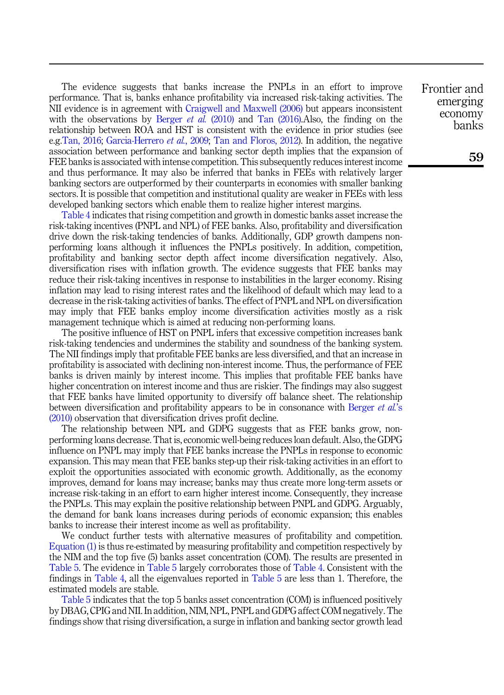The evidence suggests that banks increase the PNPLs in an effort to improve performance. That is, banks enhance profitability via increased risk-taking activities. The NII evidence is in agreement with [Craigwell and Maxwell \(2006\)](#page-16-11) but appears inconsistent with the observations by [Berger](#page-16-12) *et al.* (2010) and [Tan \(2016\).](#page-18-4)Also, the finding on the relationship between ROA and HST is consistent with the evidence in prior studies (see e.g.[Tan, 2016](#page-18-4); [Garcia-Herrero](#page-16-2) et al., 2009; [Tan and Floros, 2012](#page-18-5)). In addition, the negative association between performance and banking sector depth implies that the expansion of FEE banks is associated with intense competition. This subsequently reduces interest income and thus performance. It may also be inferred that banks in FEEs with relatively larger banking sectors are outperformed by their counterparts in economies with smaller banking sectors. It is possible that competition and institutional quality are weaker in FEEs with less developed banking sectors which enable them to realize higher interest margins.

[Table 4](#page-8-0) indicates that rising competition and growth in domestic banks asset increase the risk-taking incentives (PNPL and NPL) of FEE banks. Also, profitability and diversification drive down the risk-taking tendencies of banks. Additionally, GDP growth dampens nonperforming loans although it influences the PNPLs positively. In addition, competition, profitability and banking sector depth affect income diversification negatively. Also, diversification rises with inflation growth. The evidence suggests that FEE banks may reduce their risk-taking incentives in response to instabilities in the larger economy. Rising inflation may lead to rising interest rates and the likelihood of default which may lead to a decrease in the risk-taking activities of banks. The effect of PNPL and NPL on diversification may imply that FEE banks employ income diversification activities mostly as a risk management technique which is aimed at reducing non-performing loans.

The positive influence of HST on PNPL infers that excessive competition increases bank risk-taking tendencies and undermines the stability and soundness of the banking system. The NII findings imply that profitable FEE banks are less diversified, and that an increase in profitability is associated with declining non-interest income. Thus, the performance of FEE banks is driven mainly by interest income. This implies that profitable FEE banks have higher concentration on interest income and thus are riskier. The findings may also suggest that FEE banks have limited opportunity to diversify off balance sheet. The relationship between diversification and profitability appears to be in consonance with [Berger](#page-16-12) *et al.*'s [\(2010\)](#page-16-12) observation that diversification drives profit decline.

The relationship between NPL and GDPG suggests that as FEE banks grow, nonperforming loans decrease. That is, economic well-being reduces loan default. Also, the GDPG influence on PNPL may imply that FEE banks increase the PNPLs in response to economic expansion. This may mean that FEE banks step-up their risk-taking activities in an effort to exploit the opportunities associated with economic growth. Additionally, as the economy improves, demand for loans may increase; banks may thus create more long-term assets or increase risk-taking in an effort to earn higher interest income. Consequently, they increase the PNPLs. This may explain the positive relationship between PNPL and GDPG. Arguably, the demand for bank loans increases during periods of economic expansion; this enables banks to increase their interest income as well as profitability.

We conduct further tests with alternative measures of profitability and competition. [Equation \(1\)](#page-4-1) is thus re-estimated by measuring profitability and competition respectively by the NIM and the top five (5) banks asset concentration (COM). The results are presented in [Table 5](#page-10-0). The evidence in [Table 5](#page-10-0) largely corroborates those of [Table 4](#page-8-0). Consistent with the findings in [Table 4](#page-8-0), all the eigenvalues reported in [Table 5](#page-10-0) are less than 1. Therefore, the estimated models are stable.

[Table 5](#page-10-0) indicates that the top 5 banks asset concentration (COM) is influenced positively by DBAG, CPIG and NII. In addition, NIM, NPL, PNPL and GDPG affect COM negatively. The findings show that rising diversification, a surge in inflation and banking sector growth lead Frontier and emerging economy banks

59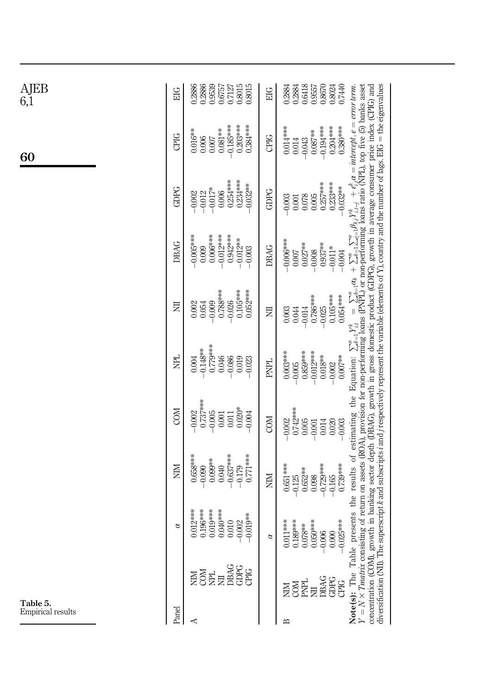<span id="page-10-0"></span>

| AJEB<br>6,1       | EIG        | 0.2886<br>0.9539<br>0.8015<br>0.8015<br>0.2886<br>0.7127<br>0.6757                                                                                                                                                                                                                                                                                                                                                                              | EIG         | 0.2884<br>0.6418<br>0.8024<br>0.7440<br>0.8670<br>0.2884<br>0.9557                                                                                                                                                                   |                                                                                                                                                                                                                                                                                                                                                                                                                                                                                                                                                                                                         |
|-------------------|------------|-------------------------------------------------------------------------------------------------------------------------------------------------------------------------------------------------------------------------------------------------------------------------------------------------------------------------------------------------------------------------------------------------------------------------------------------------|-------------|--------------------------------------------------------------------------------------------------------------------------------------------------------------------------------------------------------------------------------------|---------------------------------------------------------------------------------------------------------------------------------------------------------------------------------------------------------------------------------------------------------------------------------------------------------------------------------------------------------------------------------------------------------------------------------------------------------------------------------------------------------------------------------------------------------------------------------------------------------|
| 60                | CPIG       | $-0.185***$<br>$0.203***$<br>$0.384***$<br>$0.081**$<br>$0.016***$<br>0.006<br>$0.007$                                                                                                                                                                                                                                                                                                                                                          | CPIG        | $-0.194***$<br>$0.204***$<br>$0.380***$<br>$0.014***$<br>$0.087**$<br>0.014<br>$-0.043$                                                                                                                                              |                                                                                                                                                                                                                                                                                                                                                                                                                                                                                                                                                                                                         |
|                   | GDPG       | $0.254***$<br>$0.234***$<br>$0.032**$<br>$-0.017*$<br>0.006<br>$-0.012$<br>$-0.002$                                                                                                                                                                                                                                                                                                                                                             | GDPG        | $0.257***$<br>$0.233***$<br>$-0.032***$<br>0.078<br>0.005<br>$-0.003$<br>$0.001\,$                                                                                                                                                   |                                                                                                                                                                                                                                                                                                                                                                                                                                                                                                                                                                                                         |
|                   | DBAG       | $0.006***$<br>$-0.012***$<br>$0.942***$<br>$-0.000$<br>$-0.012**$<br>0.009<br>$-0.003$                                                                                                                                                                                                                                                                                                                                                          | <b>DBAG</b> | $****$<br>$0.007$<br>$0.027***$<br>$0.937**$<br>$-0.011*$<br>$-0.008$<br>$-0.004$                                                                                                                                                    |                                                                                                                                                                                                                                                                                                                                                                                                                                                                                                                                                                                                         |
|                   | 豆          | $0.788***$<br>$0.105***$<br>$0.052***$<br>$-0.026$<br>$-0.009$<br>0.002<br>0.054                                                                                                                                                                                                                                                                                                                                                                | 戹           | $0.054***$<br>0.786***<br>$0.105***$<br>$-0.025$<br>0.044<br>$-0.014$<br>0.003                                                                                                                                                       | erscript k and subscripts i and i respectively represent the variable (elements of Y), country and the number of lags. EIG = the eigenvalues<br>sents the results of estimating the Equation: $\sum_{k=1}^{n} Y_{i,i}^{k} = \sum_{k=1}^{n} \alpha_k + \sum_{k=1}^{n} \sum_{j=1}^{n} \beta_{kj} Y_{i,j}^{k} + \epsilon_{i,i}^{k} \alpha = \text{intercept}, \epsilon = \text{error term}.$ If or mon-performing loans (ROA), provision for non-performing loans (RPL) or<br>h in banking sector depth (DBAG), growth in gross domestic product (GDPG), growth in average consumer price index (CPIG) and |
|                   | PL<br>N    | 0.779***<br>$-0.148**$<br>0.004<br>0.046<br>$-0.086$<br>0.019<br>0.023                                                                                                                                                                                                                                                                                                                                                                          | <b>PNPL</b> | $0.003***$<br>0.859***<br>$-0.012***$<br>$0.018***$<br>$0.007**$<br>$-0.005$<br>$-0.002$                                                                                                                                             |                                                                                                                                                                                                                                                                                                                                                                                                                                                                                                                                                                                                         |
|                   | COM        | $0.737***$<br>$0.020*$<br>$-0.002$<br>$-0.005$<br>$0.001$<br>0.011<br>0.004                                                                                                                                                                                                                                                                                                                                                                     | COM         | $0.742***$<br>$-0.002$<br>0.005<br>0.014<br>0.020<br>$-0.003$<br>$-0.001$                                                                                                                                                            |                                                                                                                                                                                                                                                                                                                                                                                                                                                                                                                                                                                                         |
|                   | <b>NIN</b> | $0.658***$<br>$0.637***$<br>$0.771***$<br>$0.099**$<br>0.040<br>$-0.179$<br>$-0.090$                                                                                                                                                                                                                                                                                                                                                            | NIIN        | 0.739***<br>$0.651***$<br>$-0.720$<br>$0.652**$<br>$-0.125$<br>$-0.165$<br>0.098                                                                                                                                                     |                                                                                                                                                                                                                                                                                                                                                                                                                                                                                                                                                                                                         |
|                   | $\alpha$   | $\begin{array}{c} 0.012**\cr 0.196***\cr 0.196***\cr 0.019***\cr 0.010***\cr 0.040***\cr 0.010\cr \end{array}$<br>019**<br>002                                                                                                                                                                                                                                                                                                                  | $\alpha$    | ***<br>$\frac{0.011***}{0.189***}$<br>0.189***<br>0.078**<br>0.006<br>0.000<br>$-0.025$                                                                                                                                              | Table presents the results of estimating the Equation: $\sum_{k=1}^{n} Y_{i,i}^{k}$<br>he sup<br>growt                                                                                                                                                                                                                                                                                                                                                                                                                                                                                                  |
| Table 5.          |            | $\begin{array}{ll}\n\text{MSE} & \text{MSE} \\ \text{MSE} & \text{MSE} \\ \text{MSE} & \text{MSE} \\ \text{MSE} & \text{MSE} \\ \text{MSE} & \text{MSE} \\ \text{MSE} & \text{MSE} \\ \text{MSE} & \text{MSE} \\ \text{MSE} & \text{MSE} \\ \text{MSE} & \text{MSE} \\ \text{MSE} & \text{MSE} \\ \text{MSE} & \text{MSE} \\ \text{MSE} & \text{MSE} \\ \text{MSE} & \text{MSE} \\ \text{MSE} & \text{MSE} \\ \text{MSE} & \text{MSE} \\ \text$ |             | $\begin{array}{l} \displaystyle \mathop{\mathbb{H}^{\mathbb{N}}}_{\mathbb{N}} \mathop{\mathbb{H}^{\mathbb{N}}}_{\mathbb{N}} \mathop{\mathbb{H}^{\mathbb{N}}}_{\mathbb{N}} \mathop{\mathbb{H}^{\mathbb{N}}}_{\mathbb{N}} \end{array}$ | Imatrix consistin<br>diversification (NII)<br>The<br>concentration<br>$= N \times$<br>Note(s)                                                                                                                                                                                                                                                                                                                                                                                                                                                                                                           |
| Empirical results | Panel      | ⋖                                                                                                                                                                                                                                                                                                                                                                                                                                               |             | Б                                                                                                                                                                                                                                    |                                                                                                                                                                                                                                                                                                                                                                                                                                                                                                                                                                                                         |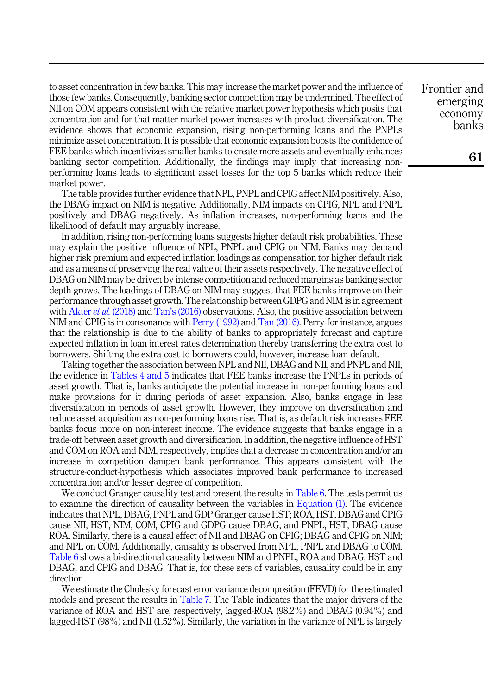to asset concentration in few banks. This may increase the market power and the influence of those few banks. Consequently, banking sector competition may be undermined. The effect of NII on COM appears consistent with the relative market power hypothesis which posits that concentration and for that matter market power increases with product diversification. The evidence shows that economic expansion, rising non-performing loans and the PNPLs minimize asset concentration. It is possible that economic expansion boosts the confidence of FEE banks which incentivizes smaller banks to create more assets and eventually enhances banking sector competition. Additionally, the findings may imply that increasing nonperforming loans leads to significant asset losses for the top 5 banks which reduce their market power.

The table provides further evidence that NPL, PNPL and CPIG affect NIM positively. Also, the DBAG impact on NIM is negative. Additionally, NIM impacts on CPIG, NPL and PNPL positively and DBAG negatively. As inflation increases, non-performing loans and the likelihood of default may arguably increase.

In addition, rising non-performing loans suggests higher default risk probabilities. These may explain the positive influence of NPL, PNPL and CPIG on NIM. Banks may demand higher risk premium and expected inflation loadings as compensation for higher default risk and as a means of preserving the real value of their assets respectively. The negative effect of DBAG on NIM may be driven by intense competition and reduced margins as banking sector depth grows. The loadings of DBAG on NIM may suggest that FEE banks improve on their performance through asset growth. The relationship between GDPG and NIM is in agreement with Akter *et al.* [\(2018\)](#page-16-4) and Tan'[s \(2016\)](#page-18-4) observations. Also, the positive association between NIM and CPIG is in consonance with [Perry \(1992\)](#page-17-20) and [Tan \(2016\).](#page-18-4) Perry for instance, argues that the relationship is due to the ability of banks to appropriately forecast and capture expected inflation in loan interest rates determination thereby transferring the extra cost to borrowers. Shifting the extra cost to borrowers could, however, increase loan default.

Taking together the association between NPL and NII, DBAG and NII, and PNPL and NII, the evidence in [Tables 4 and 5](#page-8-0) indicates that FEE banks increase the PNPLs in periods of asset growth. That is, banks anticipate the potential increase in non-performing loans and make provisions for it during periods of asset expansion. Also, banks engage in less diversification in periods of asset growth. However, they improve on diversification and reduce asset acquisition as non-performing loans rise. That is, as default risk increases FEE banks focus more on non-interest income. The evidence suggests that banks engage in a trade-off between asset growth and diversification. In addition, the negative influence of HST and COM on ROA and NIM, respectively, implies that a decrease in concentration and/or an increase in competition dampen bank performance. This appears consistent with the structure-conduct-hypothesis which associates improved bank performance to increased concentration and/or lesser degree of competition.

We conduct Granger causality test and present the results in [Table 6.](#page-12-0) The tests permit us to examine the direction of causality between the variables in [Equation \(1\).](#page-4-1) The evidence indicates that NPL, DBAG, PNPL and GDP Granger cause HST; ROA, HST, DBAG and CPIG cause NII; HST, NIM, COM, CPIG and GDPG cause DBAG; and PNPL, HST, DBAG cause ROA. Similarly, there is a causal effect of NII and DBAG on CPIG; DBAG and CPIG on NIM; and NPL on COM. Additionally, causality is observed from NPL, PNPL and DBAG to COM. [Table 6](#page-12-0) shows a bi-directional causality between NIM and PNPL, ROA and DBAG, HST and DBAG, and CPIG and DBAG. That is, for these sets of variables, causality could be in any direction.

We estimate the Cholesky forecast error variance decomposition (FEVD) for the estimated models and present the results in [Table 7.](#page-14-0) The Table indicates that the major drivers of the variance of ROA and HST are, respectively, lagged-ROA (98.2%) and DBAG (0.94%) and lagged-HST (98%) and NII (1.52%). Similarly, the variation in the variance of NPL is largely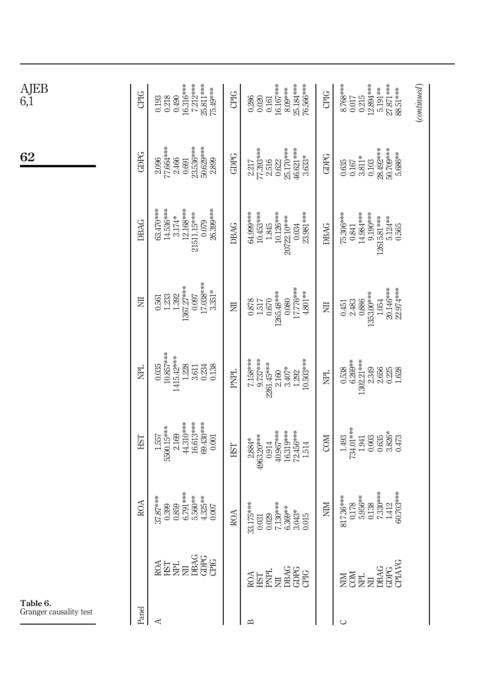<span id="page-12-0"></span>

| $\underset{6,1}{\text{AJEB}}$      | CPIG        | 16.316***<br>7.212***<br>25.811***<br>75.49***<br>0.490<br>0.218<br>0.193                                                                                                                                               | <b>CPIG</b> | 25.184***<br>76.566***<br>16.167***<br>8.09***<br>0.286<br>0.020<br>0.161                                           | CPIG      | $\frac{5.191***}{27.871***}$<br>88.51***<br>(continued)<br>8.768***<br>12.894***<br>0.215<br>$0.017$                                                            |
|------------------------------------|-------------|-------------------------------------------------------------------------------------------------------------------------------------------------------------------------------------------------------------------------|-------------|---------------------------------------------------------------------------------------------------------------------|-----------|-----------------------------------------------------------------------------------------------------------------------------------------------------------------|
| 62                                 | <b>GDPG</b> | 23.536***<br>2.096<br>77.664***<br>50.629***<br>2.466<br>2.899<br>0.691                                                                                                                                                 | GDPG        | 25.170***<br>$\frac{2.217}{77.393***}$<br>2.516<br>46.621***<br>$3.633*$<br>0.622                                   | GDPG      | 28.492****<br>50.709****<br>5.686**<br>$\underset{0.103}{3.811}$ *<br>$0.635$<br>$0.167$                                                                        |
|                                    | <b>DBAG</b> | 63.470***<br>26.399***<br>14.536***<br>12.168***<br>21511.15***<br>$3.174*$<br>0.079                                                                                                                                    | DBAG        | 10.126***<br>23.981***<br>64.999***<br>10.453***<br>20722.10***<br>1.845<br>0.034                                   | DBAG      | 75.306***<br>14.984***<br>9.190***<br>12615.81***<br>5.124**<br>0.841<br>0.565                                                                                  |
|                                    | 乬           | 17.038***<br>1367.27***<br>$3.351*$<br>$\frac{1.233}{1.392}$<br>0.097<br>0.561                                                                                                                                          | 层           | 17.776***<br>1265.48***<br>4.801**<br>0.080<br>0.670<br>$\frac{0.878}{1.517}$                                       | E         | 20.146***<br>22.974***<br>1353.00***<br>0.451<br>2.483<br>0.886<br>1.054                                                                                        |
|                                    | E           | $\frac{0.035}{10.857***}$<br>1415.42***<br>1.228<br>3.611<br>0.138<br>0.234                                                                                                                                             | PNPL        | 7.158***<br>9.737***<br>10.503***<br>2261.45****<br>$3.407*$<br>2.160<br>1.292                                      | <b>PL</b> | $0.538$<br>$6.269**$<br>1302.21 ***<br>2.349<br>2.656<br>0.225<br>1.628                                                                                         |
|                                    | EST         | 44.310***<br>16.613***<br>69.430***<br>5500.15***<br>2.169<br>1.557<br>$0.001\,$                                                                                                                                        | HST         | 40.967***<br>16.319***<br>72.456***<br>4963.20***<br>2.884*<br>0.914<br>1.514                                       | COM       | $1.493$<br>734.01***<br>$3.826*$<br>1.941<br>0.003<br>0.635<br>0.473                                                                                            |
|                                    | <b>ROA</b>  | 6.791***<br>5.560**<br>4.325**<br>37.87***<br>0.399<br>0.859<br>0.007                                                                                                                                                   | <b>ROA</b>  | 33.175****<br>7.130***<br>6.369**<br>$3.043*$<br>0.029<br>0.015<br>$\!0.031$                                        | NIM       | 7.330***<br>30.703***<br>5.956**<br>817.36***<br>0.138<br>0.178<br>1.412                                                                                        |
|                                    |             | $\begin{array}{l} \mathbb{R}\mathbb{R} \\ \mathbb{R}\mathbb{R} \\ \mathbb{H} \to \mathbb{R} \\ \mathbb{R}\mathbb{R} \\ \mathbb{G} \to \mathbb{G} \\ \mathbb{G} \to \mathbb{G} \\ \mathbb{G} \to \mathbb{G} \end{array}$ |             | $\begin{array}{l} \text{ROA} \\ \text{HST} \\ \text{ENPL} \\ \text{DBAG} \\ \text{GDEG} \\ \text{GDEG} \end{array}$ |           | $\begin{array}{c} \text{NIM} \\ \text{COM} \\ \text{NPL} \\ \text{NIL} \\ \text{IM} \\ \text{DRAG} \\ \text{GDPG} \\ \text{GDPG} \\ \text{GDPG} \\ \end{array}$ |
| Table 6.<br>Granger causality test | Panel       | ⋖                                                                                                                                                                                                                       |             | ⋍                                                                                                                   |           | $\cup$                                                                                                                                                          |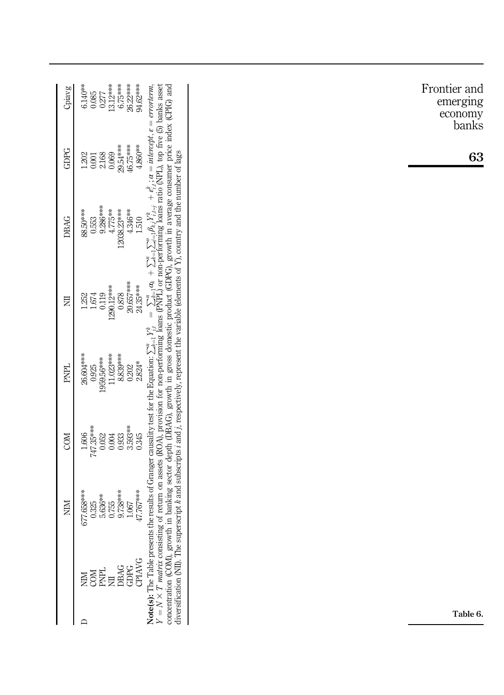| Cpiavg      | 13.12***<br>26.22***<br>94.62***<br>6.75***<br>$6.140**$<br>0.085<br>$0.277$                                                                                                                                                                                                                                                                                                                                                                                                                                                                                                                                                                                                                                                                                                                                                                  |
|-------------|-----------------------------------------------------------------------------------------------------------------------------------------------------------------------------------------------------------------------------------------------------------------------------------------------------------------------------------------------------------------------------------------------------------------------------------------------------------------------------------------------------------------------------------------------------------------------------------------------------------------------------------------------------------------------------------------------------------------------------------------------------------------------------------------------------------------------------------------------|
| GDPG        | 29.54 ***<br>46.75****<br>4.860**<br>2.168<br>0.069<br>1.202<br>$0.001\,$                                                                                                                                                                                                                                                                                                                                                                                                                                                                                                                                                                                                                                                                                                                                                                     |
| DBAG        | 9.286***<br>4.775**<br>12038.23***<br>4.346**<br>88.50***<br>0.553<br>1.510                                                                                                                                                                                                                                                                                                                                                                                                                                                                                                                                                                                                                                                                                                                                                                   |
| E           | 20.657***<br>1290.12***<br>24.35***<br>0.119<br>0.878<br>$1.674\,$<br>1.252                                                                                                                                                                                                                                                                                                                                                                                                                                                                                                                                                                                                                                                                                                                                                                   |
| <b>PNPL</b> | s the results of Granger causality test for the Equation: $\sum_{i=1}^{n} Y_{i,i}^{k} = \sum_{i=1}^{n} \sum_{i=1}^{n} \sum_{j=1}^{n} \beta_{kj} Y_{i,j}^{k} + \epsilon_{ij}^{k}$ ; $\alpha = integer \theta_{i}$ , $\epsilon = error term$ , as of return on assets (ROA), provision for non-performing loans (<br>concentration (COM), growth in banking sector depth (DBAG), growth in gross domestic product (GDPG), growth in average consumer price index (CPIG) and<br>diversification (NII). The superscript k and subscripts i and j, respectively, represent the variable (elements of Y), country and the number of lags<br><b>Note(s):</b> The Table presents the results of Granger causality test for the Equation: $\sum_{k=1}^{n} Y_{i,k}^{k}$<br>11.023***<br>8.839***<br>26.604***<br>1959.56***<br>2.824*<br>0.925<br>0.202 |
| <b>COM</b>  | 3.593**<br>$1.606$<br>747.35***<br>0.052<br>0.004<br>0.933<br>0.345                                                                                                                                                                                                                                                                                                                                                                                                                                                                                                                                                                                                                                                                                                                                                                           |
| NIM         | 9.738***<br>47.767***<br>677.658***<br>5.636**<br>0.325<br>0.755<br>$1.067\,$                                                                                                                                                                                                                                                                                                                                                                                                                                                                                                                                                                                                                                                                                                                                                                 |
|             | $Y = N \times T$ matrix consistin<br>$\begin{array}{ll} \texttt{MMM} \\ \texttt{COM} \\ \texttt{OMH} \\ \texttt{M} \\ \texttt{DBAG} \\ \texttt{GDPG} \\ \texttt{CDIAVG} \end{array}$                                                                                                                                                                                                                                                                                                                                                                                                                                                                                                                                                                                                                                                          |
|             | $\Box$                                                                                                                                                                                                                                                                                                                                                                                                                                                                                                                                                                                                                                                                                                                                                                                                                                        |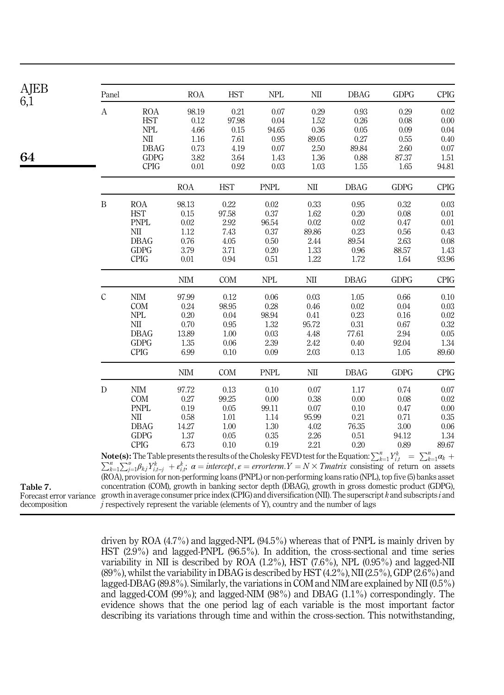<span id="page-14-0"></span>

 $6,1$ 

64

| Panel         |                                                                                                                                                   | <b>ROA</b> | <b>HST</b> | <b>NPL</b>  | NII      | <b>DBAG</b> | <b>GDPG</b> | <b>CPIG</b> |
|---------------|---------------------------------------------------------------------------------------------------------------------------------------------------|------------|------------|-------------|----------|-------------|-------------|-------------|
| А             | <b>ROA</b>                                                                                                                                        | 98.19      | 0.21       | 0.07        | 0.29     | 0.93        | 0.29        | 0.02        |
|               | <b>HST</b>                                                                                                                                        | 0.12       | 97.98      | 0.04        | 1.52     | 0.26        | 0.08        | 0.00        |
|               | <b>NPL</b>                                                                                                                                        | 4.66       | 0.15       | 94.65       | 0.36     | 0.05        | 0.09        | 0.04        |
|               | NШ                                                                                                                                                | 1.16       | 7.61       | 0.95        | 89.05    | 0.27        | 0.55        | 0.40        |
|               | <b>DBAG</b>                                                                                                                                       | 0.73       | 4.19       | 0.07        | 2.50     | 89.84       | 2.60        | 0.07        |
|               | <b>GDPG</b>                                                                                                                                       | 3.82       | 3.64       | 1.43        | 1.36     | 0.88        | 87.37       | 1.51        |
|               | <b>CPIG</b>                                                                                                                                       | 0.01       | 0.92       | 0.03        | 1.03     | 1.55        | 1.65        | 94.81       |
|               |                                                                                                                                                   | <b>ROA</b> | <b>HST</b> | <b>PNPL</b> | NII      | <b>DBAG</b> | <b>GDPG</b> | <b>CPIG</b> |
| B             | <b>ROA</b>                                                                                                                                        | 98.13      | 0.22       | 0.02        | 0.33     | 0.95        | 0.32        | 0.03        |
|               | <b>HST</b>                                                                                                                                        | 0.15       | 97.58      | 0.37        | 1.62     | 0.20        | 0.08        | 0.01        |
|               | <b>PNPL</b>                                                                                                                                       | 0.02       | 2.92       | 96.54       | 0.02     | 0.02        | 0.47        | 0.01        |
|               | NII                                                                                                                                               | 1.12       | 7.43       | 0.37        | 89.86    | 0.23        | 0.56        | 0.43        |
|               | <b>DBAG</b>                                                                                                                                       | 0.76       | 4.05       | 0.50        | 2.44     | 89.54       | 2.63        | 0.08        |
|               | <b>GDPG</b>                                                                                                                                       | 3.79       | 3.71       | 0.20        | 1.33     | 0.96        | 88.57       | 1.43        |
|               | <b>CPIG</b>                                                                                                                                       | 0.01       | 0.94       | 0.51        | 1.22     | 1.72        | 1.64        | 93.96       |
|               |                                                                                                                                                   | <b>NIM</b> | <b>COM</b> | <b>NPL</b>  | NII      | <b>DBAG</b> | <b>GDPG</b> | <b>CPIG</b> |
| $\mathcal{C}$ | <b>NIM</b>                                                                                                                                        | 97.99      | 0.12       | 0.06        | 0.03     | 1.05        | 0.66        | 0.10        |
|               | <b>COM</b>                                                                                                                                        | 0.24       | 98.95      | 0.28        | 0.46     | 0.02        | 0.04        | 0.03        |
|               | <b>NPL</b>                                                                                                                                        | 0.20       | 0.04       | 98.94       | 0.41     | 0.23        | 0.16        | 0.02        |
|               | NII                                                                                                                                               | 0.70       | 0.95       | 1.32        | 95.72    | 0.31        | 0.67        | 0.32        |
|               | <b>DBAG</b>                                                                                                                                       | 13.89      | 1.00       | 0.03        | 4.48     | 77.61       | 2.94        | 0.05        |
|               | <b>GDPG</b>                                                                                                                                       | 1.35       | 0.06       | 2.39        | 2.42     | 0.40        | 92.04       | 1.34        |
|               | <b>CPIG</b>                                                                                                                                       | 6.99       | 0.10       | 0.09        | 2.03     | 0.13        | 1.05        | 89.60       |
|               |                                                                                                                                                   | <b>NIM</b> | <b>COM</b> | <b>PNPL</b> | NШ       | <b>DBAG</b> | <b>GDPG</b> | <b>CPIG</b> |
| D             | NIM                                                                                                                                               | 97.72      | 0.13       | 0.10        | 0.07     | 1.17        | 0.74        | 0.07        |
|               | <b>COM</b>                                                                                                                                        | 0.27       | 99.25      | 0.00        | 0.38     | 0.00        | 0.08        | 0.02        |
|               | <b>PNPL</b>                                                                                                                                       | 0.19       | 0.05       | 99.11       | 0.07     | 0.10        | 0.47        | 0.00        |
|               | NII                                                                                                                                               | 0.58       | 1.01       | 1.14        | 95.99    | 0.21        | 0.71        | 0.35        |
|               | <b>DBAG</b>                                                                                                                                       | 14.27      | 1.00       | 1.30        | 4.02     | 76.35       | 3.00        | 0.06        |
|               | <b>GDPG</b>                                                                                                                                       | 1.37       | 0.05       | 0.35        | $2.26\,$ | 0.51        | 94.12       | 1.34        |
|               | <b>CPIG</b>                                                                                                                                       | 6.73       | 0.10       | 0.19        | 2.21     | 0.20        | 0.89        | 89.67       |
|               | <b>Note(s):</b> The Table presents the results of the Cholesky FEVD test for the Equation: $\sum_{k=1}^{n} Y_{i,k}^k = \sum_{k=1}^{n} \alpha_k +$ |            |            |             |          |             |             |             |

**Note(s):** The Table presents the results of the Cholesky FEVD test for the Equation:  $\sum_{k=1}^{n} Y_{i,t}^{k} = \sum_{k=1}^{n} \alpha_k + \sum_{k=1}^{n} \sum_{j=1}^{n} \beta_{kj} Y_{i,t-j}^{k} + \epsilon_{i,t}^{k}$ ,  $\alpha = intercept, \epsilon = errorterm.Y = N \times Tmatrix$  consisting of return on assets (ROA), provision for non-performing loans (PNPL) or non-performing loans ratio (NPL), top five (5) banks asset concentration (COM), growth in banking sector depth (DBAG), growth in gross domestic product (GDPG), growth in average consumer price index (CPIG) and diversification (NII). The superscript  $k$  and subscripts  $i$  and  $j$  respectively represent the variable (elements of Y), country and the number of lags

Table 7. Forecast error variance decomposition

> driven by ROA (4.7%) and lagged-NPL (94.5%) whereas that of PNPL is mainly driven by HST (2.9%) and lagged-PNPL (96.5%). In addition, the cross-sectional and time series variability in NII is described by ROA (1.2%), HST (7.6%), NPL (0.95%) and lagged-NII (89%), whilst the variability in DBAG is described by HST (4.2%), NII (2.5%), GDP (2.6%) and lagged-DBAG (89.8%). Similarly, the variations in COM and NIM are explained by NII (0.5%) and lagged-COM (99%); and lagged-NIM (98%) and DBAG (1.1%) correspondingly. The evidence shows that the one period lag of each variable is the most important factor describing its variations through time and within the cross-section. This notwithstanding,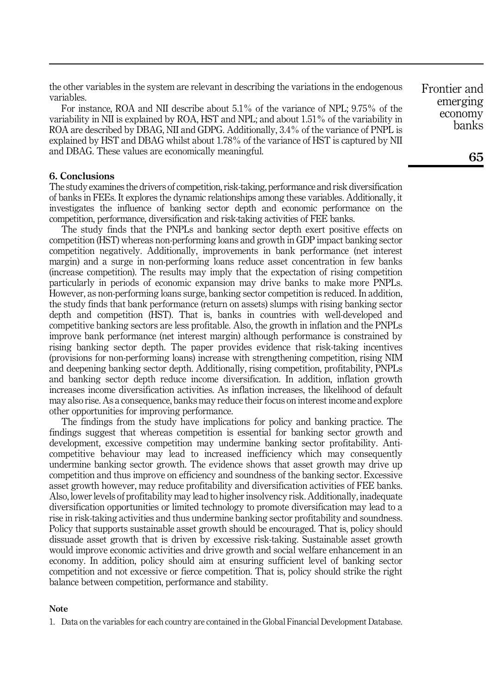the other variables in the system are relevant in describing the variations in the endogenous variables.

For instance, ROA and NII describe about 5.1% of the variance of NPL; 9.75% of the variability in NII is explained by ROA, HST and NPL; and about 1.51% of the variability in ROA are described by DBAG, NII and GDPG. Additionally, 3.4% of the variance of PNPL is explained by HST and DBAG whilst about 1.78% of the variance of HST is captured by NII and DBAG. These values are economically meaningful.

# <span id="page-15-0"></span>6. Conclusions

The study examines the drivers of competition, risk-taking, performance and risk diversification of banks in FEEs. It explores the dynamic relationships among these variables. Additionally, it investigates the influence of banking sector depth and economic performance on the competition, performance, diversification and risk-taking activities of FEE banks.

The study finds that the PNPLs and banking sector depth exert positive effects on competition (HST) whereas non-performing loans and growth in GDP impact banking sector competition negatively. Additionally, improvements in bank performance (net interest margin) and a surge in non-performing loans reduce asset concentration in few banks (increase competition). The results may imply that the expectation of rising competition particularly in periods of economic expansion may drive banks to make more PNPLs. However, as non-performing loans surge, banking sector competition is reduced. In addition, the study finds that bank performance (return on assets) slumps with rising banking sector depth and competition (HST). That is, banks in countries with well-developed and competitive banking sectors are less profitable. Also, the growth in inflation and the PNPLs improve bank performance (net interest margin) although performance is constrained by rising banking sector depth. The paper provides evidence that risk-taking incentives (provisions for non-performing loans) increase with strengthening competition, rising NIM and deepening banking sector depth. Additionally, rising competition, profitability, PNPLs and banking sector depth reduce income diversification. In addition, inflation growth increases income diversification activities. As inflation increases, the likelihood of default may also rise. As a consequence, banks may reduce their focus on interest income and explore other opportunities for improving performance.

The findings from the study have implications for policy and banking practice. The findings suggest that whereas competition is essential for banking sector growth and development, excessive competition may undermine banking sector profitability. Anticompetitive behaviour may lead to increased inefficiency which may consequently undermine banking sector growth. The evidence shows that asset growth may drive up competition and thus improve on efficiency and soundness of the banking sector. Excessive asset growth however, may reduce profitability and diversification activities of FEE banks. Also, lower levels of profitability may lead to higher insolvency risk. Additionally, inadequate diversification opportunities or limited technology to promote diversification may lead to a rise in risk-taking activities and thus undermine banking sector profitability and soundness. Policy that supports sustainable asset growth should be encouraged. That is, policy should dissuade asset growth that is driven by excessive risk-taking. Sustainable asset growth would improve economic activities and drive growth and social welfare enhancement in an economy. In addition, policy should aim at ensuring sufficient level of banking sector competition and not excessive or fierce competition. That is, policy should strike the right balance between competition, performance and stability.

### <span id="page-15-1"></span>Note

1. Data on the variables for each country are contained in the Global Financial Development Database.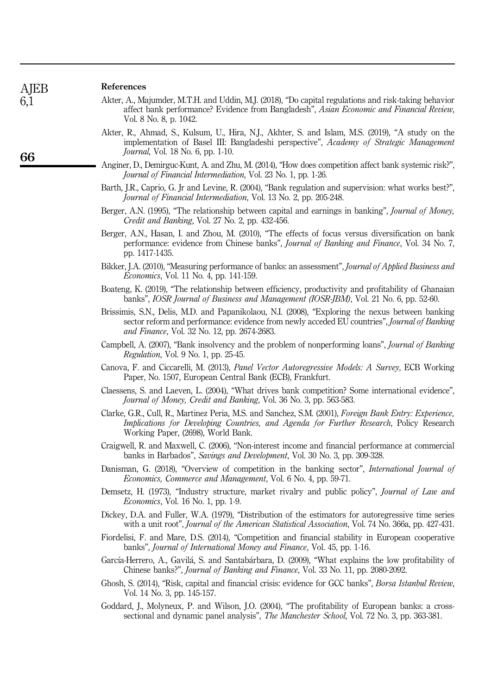## References

- <span id="page-16-4"></span>Akter, A., Majumder, M.T.H. and Uddin, M.J. (2018), "Do capital regulations and risk-taking behavior affect bank performance? Evidence from Bangladesh", Asian Economic and Financial Review, Vol. 8 No. 8, p. 1042.
- <span id="page-16-1"></span>Akter, R., Ahmad, S., Kulsum, U., Hira, N.J., Akhter, S. and Islam, M.S. (2019), "A study on the implementation of Basel III: Bangladeshi perspective", Academy of Strategic Management Journal, Vol. 18 No. 6, pp. 1-10.
- <span id="page-16-8"></span>Anginer, D., Demirguc-Kunt, A. and Zhu, M. (2014), "How does competition affect bank systemic risk?", Journal of Financial Intermediation, Vol. 23 No. 1, pp. 1-26.
- <span id="page-16-0"></span>Barth, J.R., Caprio, G. Jr and Levine, R. (2004), "Bank regulation and supervision: what works best?", Journal of Financial Intermediation, Vol. 13 No. 2, pp. 205-248.
- <span id="page-16-15"></span>Berger, A.N. (1995), "The relationship between capital and earnings in banking", *Journal of Money*, Credit and Banking, Vol. 27 No. 2, pp. 432-456.
- <span id="page-16-12"></span>Berger, A.N., Hasan, I. and Zhou, M. (2010), "The effects of focus versus diversification on bank performance: evidence from Chinese banks", Journal of Banking and Finance, Vol. 34 No. 7, pp. 1417-1435.
- <span id="page-16-5"></span>Bikker, J.A. (2010), "Measuring performance of banks: an assessment", *Journal of Applied Business and* Economics, Vol. 11 No. 4, pp. 141-159.
- <span id="page-16-19"></span>Boateng, K. (2019), "The relationship between efficiency, productivity and profitability of Ghanaian banks", IOSR Journal of Business and Management (IOSR-JBM), Vol. 21 No. 6, pp. 52-60.
- <span id="page-16-7"></span>Brissimis, S.N., Delis, M.D. and Papanikolaou, N.I. (2008), "Exploring the nexus between banking sector reform and performance: evidence from newly acceded EU countries", Journal of Banking and Finance, Vol. 32 No. 12, pp. 2674-2683.
- <span id="page-16-3"></span>Campbell, A. (2007), "Bank insolvency and the problem of nonperforming loans", Journal of Banking Regulation, Vol. 9 No. 1, pp. 25-45.
- <span id="page-16-16"></span>Canova, F. and Ciccarelli, M. (2013), Panel Vector Autoregressive Models: A Survey, ECB Working Paper, No. 1507, European Central Bank (ECB), Frankfurt.
- <span id="page-16-18"></span>Claessens, S. and Laeven, L. (2004), "What drives bank competition? Some international evidence", Journal of Money, Credit and Banking, Vol. 36 No. 3, pp. 563-583.
- <span id="page-16-6"></span>Clarke, G.R., Cull, R., Martinez Peria, M.S. and Sanchez, S.M. (2001), Foreign Bank Entry: Experience, Implications for Developing Countries, and Agenda for Further Research, Policy Research Working Paper, (2698), World Bank.
- <span id="page-16-11"></span>Craigwell, R. and Maxwell, C. (2006), "Non-interest income and financial performance at commercial banks in Barbados", Savings and Development, Vol. 30 No. 3, pp. 309-328.
- <span id="page-16-17"></span>Danisman, G. (2018), "Overview of competition in the banking sector", International Journal of Economics, Commerce and Management, Vol. 6 No. 4, pp. 59-71.
- <span id="page-16-14"></span>Demsetz, H. (1973), "Industry structure, market rivalry and public policy", *Journal of Law and* Economics, Vol. 16 No. 1, pp. 1-9.
- <span id="page-16-20"></span>Dickey, D.A. and Fuller, W.A. (1979), "Distribution of the estimators for autoregressive time series with a unit root", *Journal of the American Statistical Association*, Vol. 74 No. 366a, pp. 427-431.
- <span id="page-16-10"></span>Fiordelisi, F. and Mare, D.S. (2014), "Competition and financial stability in European cooperative banks", Journal of International Money and Finance, Vol. 45, pp. 1-16.
- <span id="page-16-2"></span>García-Herrero, A., Gavilá, S. and Santabárbara, D. (2009), "What explains the low profitability of Chinese banks?", Journal of Banking and Finance, Vol. 33 No. 11, pp. 2080-2092.
- <span id="page-16-13"></span>Ghosh, S. (2014), "Risk, capital and financial crisis: evidence for GCC banks", Borsa Istanbul Review, Vol. 14 No. 3, pp. 145-157.
- <span id="page-16-9"></span>Goddard, J., Molyneux, P. and Wilson, J.O. (2004), "The profitability of European banks: a crosssectional and dynamic panel analysis", *The Manchester School*, Vol. 72 No. 3, pp. 363-381.

**AIEB** 6,1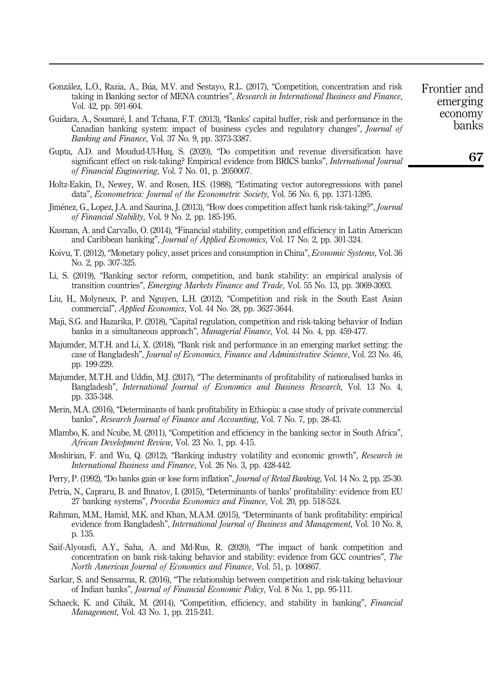- <span id="page-17-10"></span>Gonzalez, L.O., Razia, A., Bua, M.V. and Sestayo, R.L. (2017), "Competition, concentration and risk taking in Banking sector of MENA countries", Research in International Business and Finance, Vol. 42, pp. 591-604.
- <span id="page-17-19"></span>Guidara, A., Soumare, I. and Tchana, F.T. (2013), "Banks' capital buffer, risk and performance in the Canadian banking system: impact of business cycles and regulatory changes", Journal of Banking and Finance, Vol. 37 No. 9, pp. 3373-3387.
- <span id="page-17-9"></span>Gupta, A.D. and Moudud-Ul-Huq, S. (2020), "Do competition and revenue diversification have significant effect on risk-taking? Empirical evidence from BRICS banks", International Journal of Financial Engineering, Vol. 7 No. 01, p. 2050007.
- <span id="page-17-16"></span>Holtz-Eakin, D., Newey, W. and Rosen, H.S. (1988), "Estimating vector autoregressions with panel data", Econometrica: Journal of the Econometric Society, Vol. 56 No. 6, pp. 1371-1395.
- <span id="page-17-15"></span>Jiménez, G., Lopez, J.A. and Saurina, J. (2013), "How does competition affect bank risk-taking?", Journal of Financial Stability, Vol. 9 No. 2, pp. 185-195.
- <span id="page-17-6"></span>Kasman, A. and Carvallo, O. (2014), "Financial stability, competition and efficiency in Latin American and Caribbean banking", Journal of Applied Economics, Vol. 17 No. 2, pp. 301-324.
- <span id="page-17-1"></span>Koivu, T. (2012), "Monetary policy, asset prices and consumption in China", *Economic Systems*, Vol. 36 No. 2, pp. 307-325.
- <span id="page-17-18"></span>Li, S. (2019), "Banking sector reform, competition, and bank stability: an empirical analysis of transition countries", Emerging Markets Finance and Trade, Vol. 55 No. 13, pp. 3069-3093.
- <span id="page-17-17"></span>Liu, H., Molyneux, P. and Nguyen, L.H. (2012), "Competition and risk in the South East Asian commercial", Applied Economics, Vol. 44 No. 28, pp. 3627-3644.
- <span id="page-17-12"></span>Maji, S.G. and Hazarika, P. (2018), "Capital regulation, competition and risk-taking behavior of Indian banks in a simultaneous approach", Managerial Finance, Vol. 44 No. 4, pp. 459-477.
- <span id="page-17-8"></span>Majumder, M.T.H. and Li, X. (2018), "Bank risk and performance in an emerging market setting: the case of Bangladesh", Journal of Economics, Finance and Administrative Science, Vol. 23 No. 46, pp. 199-229.
- <span id="page-17-4"></span>Majumder, M.T.H. and Uddin, M.J. (2017), "The determinants of profitability of nationalised banks in Bangladesh", International Journal of Economics and Business Research, Vol. 13 No. 4, pp. 335-348.
- <span id="page-17-3"></span>Merin, M.A. (2016), "Determinants of bank profitability in Ethiopia: a case study of private commercial banks", Research Journal of Finance and Accounting, Vol. 7 No. 7, pp. 28-43.
- <span id="page-17-5"></span>Mlambo, K. and Ncube, M. (2011), "Competition and efficiency in the banking sector in South Africa", African Development Review, Vol. 23 No. 1, pp. 4-15.
- <span id="page-17-0"></span>Moshirian, F. and Wu, Q. (2012), "Banking industry volatility and economic growth", Research in International Business and Finance, Vol. 26 No. 3, pp. 428-442.
- <span id="page-17-20"></span>Perry, P. (1992), "Do banks gain or lose form inflation", *Journal of Retail Banking*, Vol. 14 No. 2, pp. 25-30.
- <span id="page-17-7"></span>Petria, N., Capraru, B. and Ihnatov, I. (2015), "Determinants of banks' profitability: evidence from EU 27 banking systems", Procedia Economics and Finance, Vol. 20, pp. 518-524.
- <span id="page-17-2"></span>Rahman, M.M., Hamid, M.K. and Khan, M.A.M. (2015), "Determinants of bank profitability: empirical evidence from Bangladesh", International Journal of Business and Management, Vol. 10 No. 8, p. 135.
- <span id="page-17-11"></span>Saif-Alyousfi, A.Y., Saha, A. and Md-Rus, R. (2020), "The impact of bank competition and concentration on bank risk-taking behavior and stability: evidence from GCC countries", The North American Journal of Economics and Finance, Vol. 51, p. 100867.
- <span id="page-17-13"></span>Sarkar, S. and Sensarma, R. (2016), "The relationship between competition and risk-taking behaviour of Indian banks", Journal of Financial Economic Policy, Vol. 8 No. 1, pp. 95-111.
- <span id="page-17-14"></span>Schaeck, K. and Cihák, M. (2014), "Competition, efficiency, and stability in banking", Financial Management, Vol. 43 No. 1, pp. 215-241.